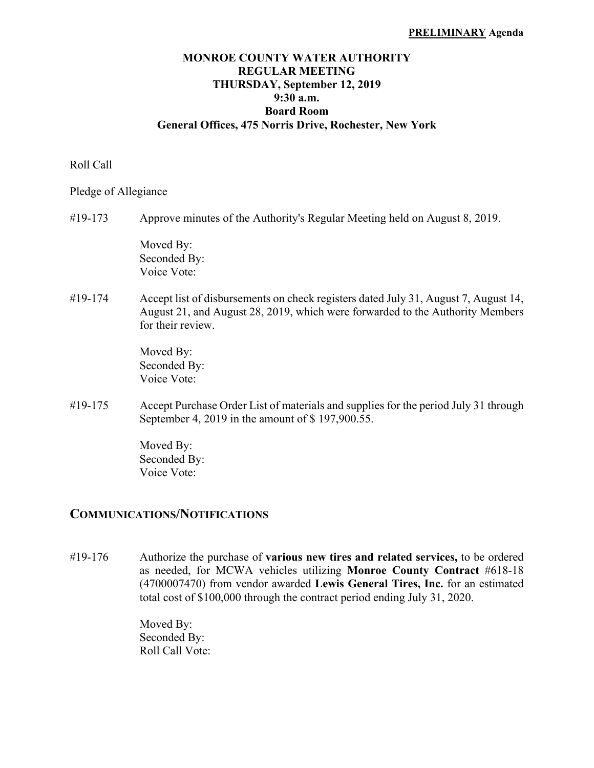#### **PRELIMINARY Agenda**

## **MONROE COUNTY WATER AUTHORITY REGULAR MEETING THURSDAY, September 12, 2019 9:30 a.m. Board Room General Offices, 475 Norris Drive, Rochester, New York**

### Roll Call

Pledge of Allegiance

#19-173 Approve minutes of the Authority's Regular Meeting held on August 8, 2019.

 Moved By: Seconded By: Voice Vote:

#19-174 Accept list of disbursements on check registers dated July 31, August 7, August 14, August 21, and August 28, 2019, which were forwarded to the Authority Members for their review.

> Moved By: Seconded By: Voice Vote:

#19-175 Accept Purchase Order List of materials and supplies for the period July 31 through September 4, 2019 in the amount of \$ 197,900.55.

> Moved By: Seconded By: Voice Vote:

## **COMMUNICATIONS/NOTIFICATIONS**

#19-176 Authorize the purchase of **various new tires and related services,** to be ordered as needed, for MCWA vehicles utilizing **Monroe County Contract** #618-18 (4700007470) from vendor awarded **Lewis General Tires, Inc.** for an estimated total cost of \$100,000 through the contract period ending July 31, 2020.

> Moved By: Seconded By: Roll Call Vote: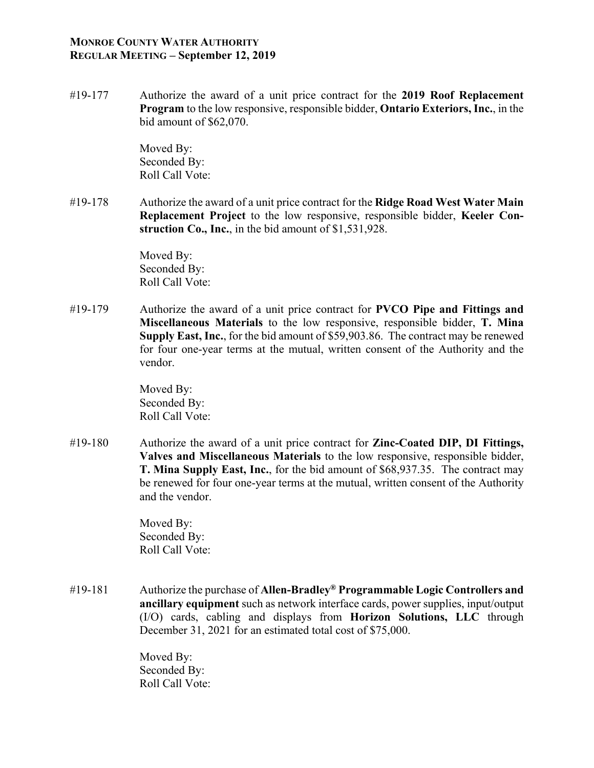## **MONROE COUNTY WATER AUTHORITY REGULAR MEETING – September 12, 2019**

#19-177 Authorize the award of a unit price contract for the **2019 Roof Replacement Program** to the low responsive, responsible bidder, **Ontario Exteriors, Inc.**, in the bid amount of \$62,070.

> Moved By: Seconded By: Roll Call Vote:

#19-178 Authorize the award of a unit price contract for the **Ridge Road West Water Main Replacement Project** to the low responsive, responsible bidder, **Keeler Construction Co., Inc.**, in the bid amount of \$1,531,928.

> Moved By: Seconded By: Roll Call Vote:

#19-179 Authorize the award of a unit price contract for **PVCO Pipe and Fittings and Miscellaneous Materials** to the low responsive, responsible bidder, **T. Mina Supply East, Inc.**, for the bid amount of \$59,903.86. The contract may be renewed for four one-year terms at the mutual, written consent of the Authority and the vendor.

> Moved By: Seconded By: Roll Call Vote:

#19-180 Authorize the award of a unit price contract for **Zinc-Coated DIP, DI Fittings, Valves and Miscellaneous Materials** to the low responsive, responsible bidder, **T. Mina Supply East, Inc.**, for the bid amount of \$68,937.35. The contract may be renewed for four one-year terms at the mutual, written consent of the Authority and the vendor.

> Moved By: Seconded By: Roll Call Vote:

#19-181 Authorize the purchase of **Allen-Bradley® Programmable Logic Controllers and ancillary equipment** such as network interface cards, power supplies, input/output (I/O) cards, cabling and displays from **Horizon Solutions, LLC** through December 31, 2021 for an estimated total cost of \$75,000.

> Moved By: Seconded By: Roll Call Vote: